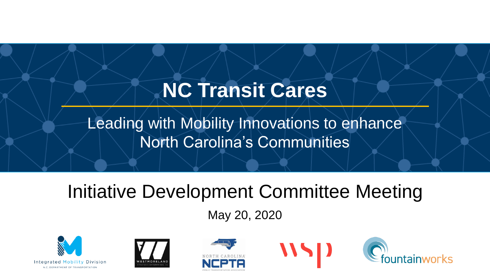# **NC Transit Cares**

Leading with Mobility Innovations to enhance North Carolina's Communities

# Initiative Development Committee Meeting

May 20, 2020









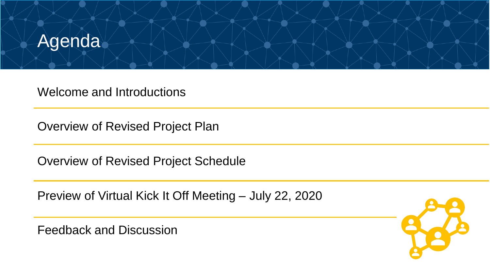

Welcome and Introductions

Overview of Revised Project Plan

Overview of Revised Project Schedule

Preview of Virtual Kick It Off Meeting – July 22, 2020

Feedback and Discussion

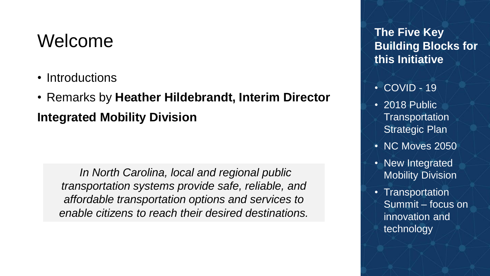#### Welcome

- Introductions
- Remarks by **Heather Hildebrandt, Interim Director Integrated Mobility Division**

*In North Carolina, local and regional public transportation systems provide safe, reliable, and affordable transportation options and services to enable citizens to reach their desired destinations.* 

**The Five Key Building Blocks for this Initiative**

- COVID 19
- 2018 Public **Transportation** Strategic Plan
- NC Moves 2050
- New Integrated Mobility Division
- Transportation Summit – focus on innovation and technology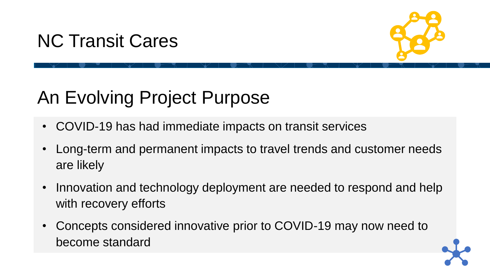## NC Transit Cares



# An Evolving Project Purpose

- COVID-19 has had immediate impacts on transit services
- Long-term and permanent impacts to travel trends and customer needs are likely
- Innovation and technology deployment are needed to respond and help with recovery efforts
- Concepts considered innovative prior to COVID-19 may now need to become standard

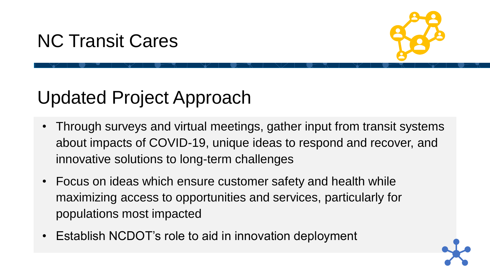## NC Transit Cares



## Updated Project Approach

- Through surveys and virtual meetings, gather input from transit systems about impacts of COVID-19, unique ideas to respond and recover, and innovative solutions to long-term challenges
- Focus on ideas which ensure customer safety and health while maximizing access to opportunities and services, particularly for populations most impacted
- Establish NCDOT's role to aid in innovation deployment

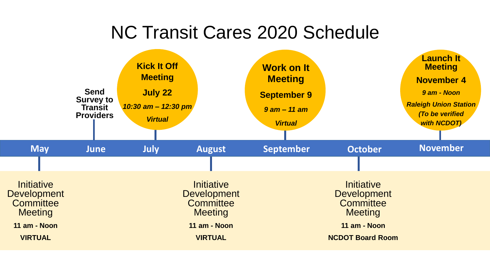## NC Transit Cares 2020 Schedule

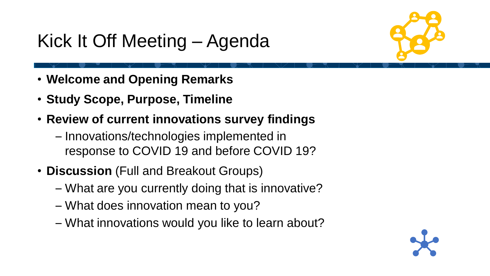# Kick It Off Meeting – Agenda



- **Welcome and Opening Remarks**
- **Study Scope, Purpose, Timeline**
- **Review of current innovations survey findings**
	- Innovations/technologies implemented in response to COVID 19 and before COVID 19?
- **Discussion** (Full and Breakout Groups)
	- What are you currently doing that is innovative?
	- What does innovation mean to you?
	- What innovations would you like to learn about?